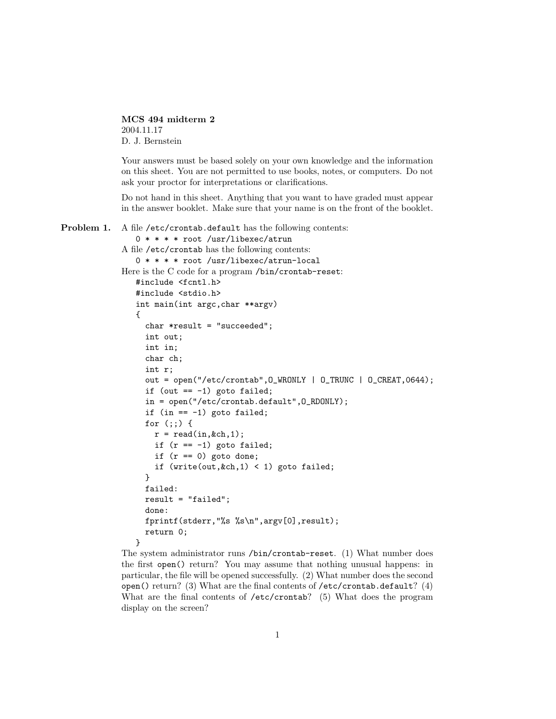MCS 494 midterm 2 2004.11.17 D. J. Bernstein

Your answers must be based solely on your own knowledge and the information on this sheet. You are not permitted to use books, notes, or computers. Do not ask your proctor for interpretations or clarifications.

Do not hand in this sheet. Anything that you want to have graded must appear in the answer booklet. Make sure that your name is on the front of the booklet.

```
Problem 1. A file /etc/crontab.default has the following contents:
    0 * * * * root /usr/libexec/atrun
 A file /etc/crontab has the following contents:
    0 * * * * root /usr/libexec/atrun-local
 Here is the C code for a program /bin/crontab-reset:
    #include <fcntl.h>
    #include <stdio.h>
    int main(int argc,char **argv)
    {
       char *result = "succeeded";
       int out;
       int in;
       char ch;
       int r;
       out = open("/etc/crontab",O_WRONLY | O_TRUNC | O_CREAT,0644);
       if (out == -1) goto failed;
       in = open("/etc/crontab.default",O_RDONLY);
       if (in == -1) goto failed;
       for (;;) {
         r = \text{read}(in, & ch, 1);if (r == -1) goto failed;
         if (r == 0) goto done;
         if (write(out, &ch, 1) < 1) goto failed;
       }
       failed:
      result = "failed";
       done:
       fprintf(stderr,"%s %s\n",argv[0],result);
       return 0;
    }
```
The system administrator runs /bin/crontab-reset. (1) What number does the first open() return? You may assume that nothing unusual happens: in particular, the file will be opened successfully. (2) What number does the second open() return? (3) What are the final contents of  $/etc/$ crontab.default? (4) What are the final contents of /etc/crontab? (5) What does the program display on the screen?